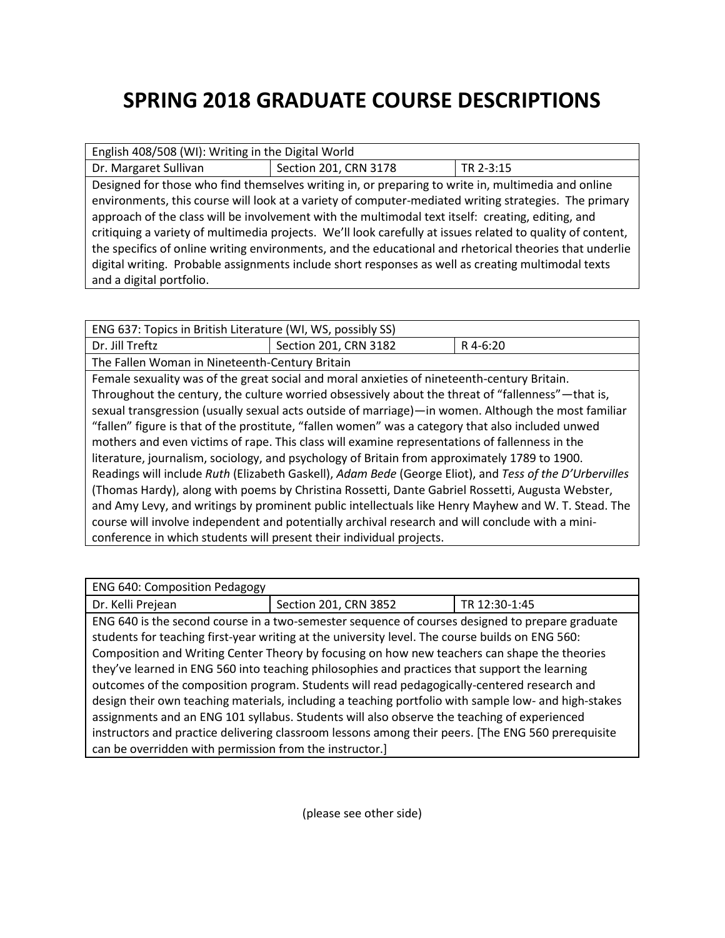## **SPRING 2018 GRADUATE COURSE DESCRIPTIONS**

| English 408/508 (WI): Writing in the Digital World                                                         |                       |           |  |  |
|------------------------------------------------------------------------------------------------------------|-----------------------|-----------|--|--|
| Dr. Margaret Sullivan                                                                                      | Section 201, CRN 3178 | TR 2-3:15 |  |  |
| Designed for those who find themselves writing in, or preparing to write in, multimedia and online         |                       |           |  |  |
| environments, this course will look at a variety of computer-mediated writing strategies. The primary      |                       |           |  |  |
| approach of the class will be involvement with the multimodal text itself: creating, editing, and          |                       |           |  |  |
| critiquing a variety of multimedia projects. We'll look carefully at issues related to quality of content, |                       |           |  |  |
| the specifics of online writing environments, and the educational and rhetorical theories that underlie    |                       |           |  |  |
| digital writing. Probable assignments include short responses as well as creating multimodal texts         |                       |           |  |  |
| and a digital portfolio.                                                                                   |                       |           |  |  |

| ENG 637: Topics in British Literature (WI, WS, possibly SS)                                             |                       |          |  |  |
|---------------------------------------------------------------------------------------------------------|-----------------------|----------|--|--|
| Dr. Jill Treftz                                                                                         | Section 201, CRN 3182 | R 4-6:20 |  |  |
| The Fallen Woman in Nineteenth-Century Britain                                                          |                       |          |  |  |
| Female sexuality was of the great social and moral anxieties of nineteenth-century Britain.             |                       |          |  |  |
| Throughout the century, the culture worried obsessively about the threat of "fallenness" - that is,     |                       |          |  |  |
| sexual transgression (usually sexual acts outside of marriage)—in women. Although the most familiar     |                       |          |  |  |
| "fallen" figure is that of the prostitute, "fallen women" was a category that also included unwed       |                       |          |  |  |
| mothers and even victims of rape. This class will examine representations of fallenness in the          |                       |          |  |  |
| literature, journalism, sociology, and psychology of Britain from approximately 1789 to 1900.           |                       |          |  |  |
| Readings will include Ruth (Elizabeth Gaskell), Adam Bede (George Eliot), and Tess of the D'Urbervilles |                       |          |  |  |
| (Thomas Hardy), along with poems by Christina Rossetti, Dante Gabriel Rossetti, Augusta Webster,        |                       |          |  |  |
| and Amy Levy, and writings by prominent public intellectuals like Henry Mayhew and W. T. Stead. The     |                       |          |  |  |
| course will involve independent and potentially archival research and will conclude with a mini-        |                       |          |  |  |
| conference in which students will present their individual projects.                                    |                       |          |  |  |

| <b>ENG 640: Composition Pedagogy</b>                                                                 |                       |               |  |  |
|------------------------------------------------------------------------------------------------------|-----------------------|---------------|--|--|
| Dr. Kelli Prejean                                                                                    | Section 201, CRN 3852 | TR 12:30-1:45 |  |  |
| ENG 640 is the second course in a two-semester sequence of courses designed to prepare graduate      |                       |               |  |  |
| students for teaching first-year writing at the university level. The course builds on ENG 560:      |                       |               |  |  |
| Composition and Writing Center Theory by focusing on how new teachers can shape the theories         |                       |               |  |  |
| they've learned in ENG 560 into teaching philosophies and practices that support the learning        |                       |               |  |  |
| outcomes of the composition program. Students will read pedagogically-centered research and          |                       |               |  |  |
| design their own teaching materials, including a teaching portfolio with sample low- and high-stakes |                       |               |  |  |
| assignments and an ENG 101 syllabus. Students will also observe the teaching of experienced          |                       |               |  |  |
| instructors and practice delivering classroom lessons among their peers. [The ENG 560 prerequisite   |                       |               |  |  |
| can be overridden with permission from the instructor.]                                              |                       |               |  |  |

(please see other side)